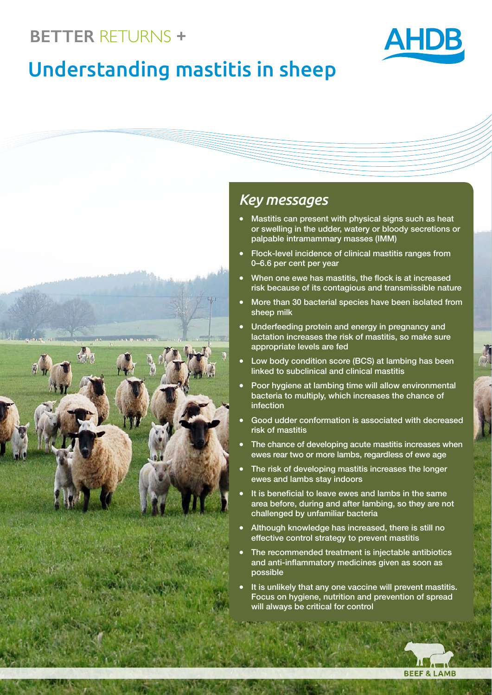# **BETTER** RETURNS **+**



# Understanding mastitis in sheep



### *Key messages*

- Mastitis can present with physical signs such as heat or swelling in the udder, watery or bloody secretions or palpable intramammary masses (IMM)
- **Flock-level incidence of clinical mastitis ranges from** 0–6.6 per cent per year
- When one ewe has mastitis, the flock is at increased risk because of its contagious and transmissible nature
- More than 30 bacterial species have been isolated from sheep milk
- Underfeeding protein and energy in pregnancy and lactation increases the risk of mastitis, so make sure appropriate levels are fed
- Low body condition score (BCS) at lambing has been linked to subclinical and clinical mastitis
- Poor hygiene at lambing time will allow environmental bacteria to multiply, which increases the chance of infection
- Good udder conformation is associated with decreased risk of mastitis
- The chance of developing acute mastitis increases when ewes rear two or more lambs, regardless of ewe age
- The risk of developing mastitis increases the longer ewes and lambs stay indoors
- It is beneficial to leave ewes and lambs in the same area before, during and after lambing, so they are not challenged by unfamiliar bacteria
- Although knowledge has increased, there is still no effective control strategy to prevent mastitis
- The recommended treatment is injectable antibiotics and anti-inflammatory medicines given as soon as possible
- It is unlikely that any one vaccine will prevent mastitis. Focus on hygiene, nutrition and prevention of spread will always be critical for control

 $\overline{\text{N}}$ 

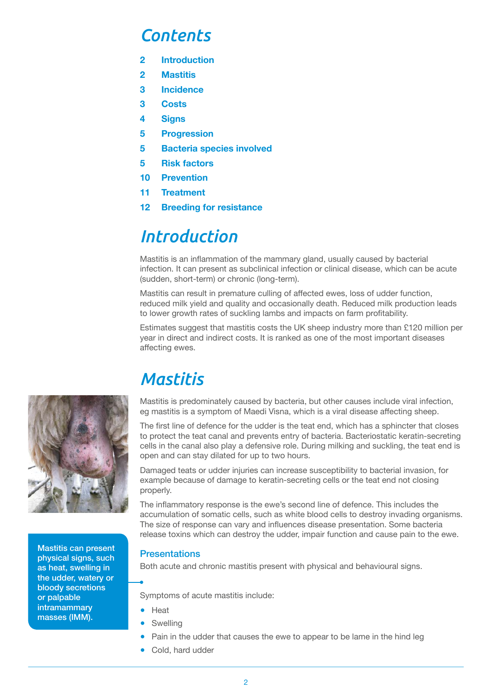### *Contents*

- **2 Introduction**
- **2 Mastitis**
- **3 Incidence**
- **3 Costs**
- **4 Signs**
- **5 Progression**
- **5 Bacteria species involved**
- **5 Risk factors**
- **10 Prevention**
- **11 Treatment**
- **12 Breeding for resistance**

### *Introduction*

Mastitis is an inflammation of the mammary gland, usually caused by bacterial infection. It can present as subclinical infection or clinical disease, which can be acute (sudden, short-term) or chronic (long-term).

Mastitis can result in premature culling of affected ewes, loss of udder function, reduced milk yield and quality and occasionally death. Reduced milk production leads to lower growth rates of suckling lambs and impacts on farm profitability.

Estimates suggest that mastitis costs the UK sheep industry more than £120 million per year in direct and indirect costs. It is ranked as one of the most important diseases affecting ewes.

### *Mastitis*

Mastitis is predominately caused by bacteria, but other causes include viral infection, eg mastitis is a symptom of Maedi Visna, which is a viral disease affecting sheep.

The first line of defence for the udder is the teat end, which has a sphincter that closes to protect the teat canal and prevents entry of bacteria. Bacteriostatic keratin-secreting cells in the canal also play a defensive role. During milking and suckling, the teat end is open and can stay dilated for up to two hours.

Damaged teats or udder injuries can increase susceptibility to bacterial invasion, for example because of damage to keratin-secreting cells or the teat end not closing properly.

The inflammatory response is the ewe's second line of defence. This includes the accumulation of somatic cells, such as white blood cells to destroy invading organisms. The size of response can vary and influences disease presentation. Some bacteria release toxins which can destroy the udder, impair function and cause pain to the ewe.

#### **Presentations**

Both acute and chronic mastitis present with physical and behavioural signs.

Symptoms of acute mastitis include:

- Heat
- **Swelling**
- Pain in the udder that causes the ewe to appear to be lame in the hind leg
- Cold, hard udder



Mastitis can present physical signs, such as heat, swelling in the udder, watery or bloody secretions or palpable intramammary masses (IMM).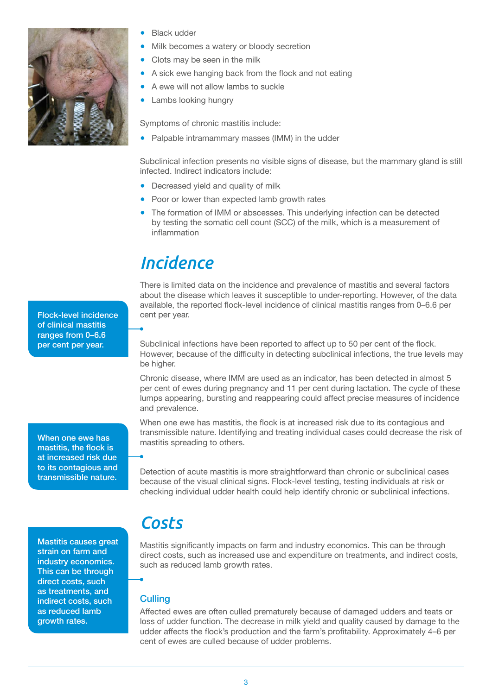

- **Black udder**
- Milk becomes a watery or bloody secretion
- Clots may be seen in the milk
- A sick ewe hanging back from the flock and not eating
- A ewe will not allow lambs to suckle
- Lambs looking hungry

Symptoms of chronic mastitis include:

Palpable intramammary masses (IMM) in the udder

Subclinical infection presents no visible signs of disease, but the mammary gland is still infected. Indirect indicators include:

- Decreased yield and quality of milk
- Poor or lower than expected lamb growth rates
- The formation of IMM or abscesses. This underlying infection can be detected by testing the somatic cell count (SCC) of the milk, which is a measurement of inflammation

### *Incidence*

There is limited data on the incidence and prevalence of mastitis and several factors about the disease which leaves it susceptible to under-reporting. However, of the data available, the reported flock-level incidence of clinical mastitis ranges from 0–6.6 per cent per year.

Subclinical infections have been reported to affect up to 50 per cent of the flock. However, because of the difficulty in detecting subclinical infections, the true levels may be higher.

Chronic disease, where IMM are used as an indicator, has been detected in almost 5 per cent of ewes during pregnancy and 11 per cent during lactation. The cycle of these lumps appearing, bursting and reappearing could affect precise measures of incidence and prevalence.

When one ewe has mastitis, the flock is at increased risk due to its contagious and transmissible nature. Identifying and treating individual cases could decrease the risk of mastitis spreading to others.

Detection of acute mastitis is more straightforward than chronic or subclinical cases because of the visual clinical signs. Flock-level testing, testing individuals at risk or checking individual udder health could help identify chronic or subclinical infections.

Flock-level incidence of clinical mastitis ranges from 0–6.6 per cent per year.

When one ewe has mastitis, the flock is at increased risk due to its contagious and transmissible nature.

Mastitis causes great strain on farm and industry economics. This can be through direct costs, such as treatments, and indirect costs, such as reduced lamb growth rates.

# *Costs*

Mastitis significantly impacts on farm and industry economics. This can be through direct costs, such as increased use and expenditure on treatments, and indirect costs, such as reduced lamb growth rates.

#### **Culling**

Affected ewes are often culled prematurely because of damaged udders and teats or loss of udder function. The decrease in milk yield and quality caused by damage to the udder affects the flock's production and the farm's profitability. Approximately 4–6 per cent of ewes are culled because of udder problems.

3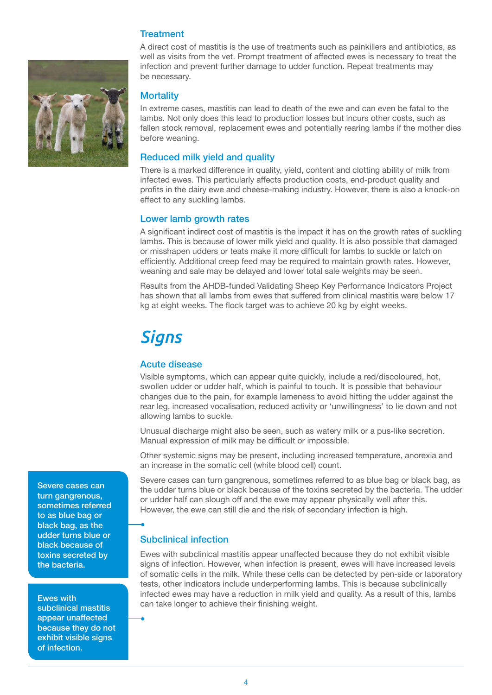#### **Treatment**



A direct cost of mastitis is the use of treatments such as painkillers and antibiotics, as well as visits from the vet. Prompt treatment of affected ewes is necessary to treat the infection and prevent further damage to udder function. Repeat treatments may be necessary.

#### **Mortality**

In extreme cases, mastitis can lead to death of the ewe and can even be fatal to the lambs. Not only does this lead to production losses but incurs other costs, such as fallen stock removal, replacement ewes and potentially rearing lambs if the mother dies before weaning.

#### Reduced milk yield and quality

There is a marked difference in quality, yield, content and clotting ability of milk from infected ewes. This particularly affects production costs, end-product quality and profits in the dairy ewe and cheese-making industry. However, there is also a knock-on effect to any suckling lambs.

#### Lower lamb growth rates

A significant indirect cost of mastitis is the impact it has on the growth rates of suckling lambs. This is because of lower milk yield and quality. It is also possible that damaged or misshapen udders or teats make it more difficult for lambs to suckle or latch on efficiently. Additional creep feed may be required to maintain growth rates. However, weaning and sale may be delayed and lower total sale weights may be seen.

Results from the AHDB-funded Validating Sheep Key Performance Indicators Project has shown that all lambs from ewes that suffered from clinical mastitis were below 17 kg at eight weeks. The flock target was to achieve 20 kg by eight weeks.

### *Signs*

#### Acute disease

Visible symptoms, which can appear quite quickly, include a red/discoloured, hot, swollen udder or udder half, which is painful to touch. It is possible that behaviour changes due to the pain, for example lameness to avoid hitting the udder against the rear leg, increased vocalisation, reduced activity or 'unwillingness' to lie down and not allowing lambs to suckle.

Unusual discharge might also be seen, such as watery milk or a pus-like secretion. Manual expression of milk may be difficult or impossible.

Other systemic signs may be present, including increased temperature, anorexia and an increase in the somatic cell (white blood cell) count.

Severe cases can turn gangrenous, sometimes referred to as blue bag or black bag, as the udder turns blue or black because of the toxins secreted by the bacteria. The udder or udder half can slough off and the ewe may appear physically well after this. However, the ewe can still die and the risk of secondary infection is high.

#### Subclinical infection

Ewes with subclinical mastitis appear unaffected because they do not exhibit visible signs of infection. However, when infection is present, ewes will have increased levels of somatic cells in the milk. While these cells can be detected by pen-side or laboratory tests, other indicators include underperforming lambs. This is because subclinically infected ewes may have a reduction in milk yield and quality. As a result of this, lambs can take longer to achieve their finishing weight.

Severe cases can turn gangrenous, sometimes referred to as blue bag or black bag, as the udder turns blue or black because of toxins secreted by the bacteria.

Ewes with subclinical mastitis appear unaffected because they do not exhibit visible signs of infection.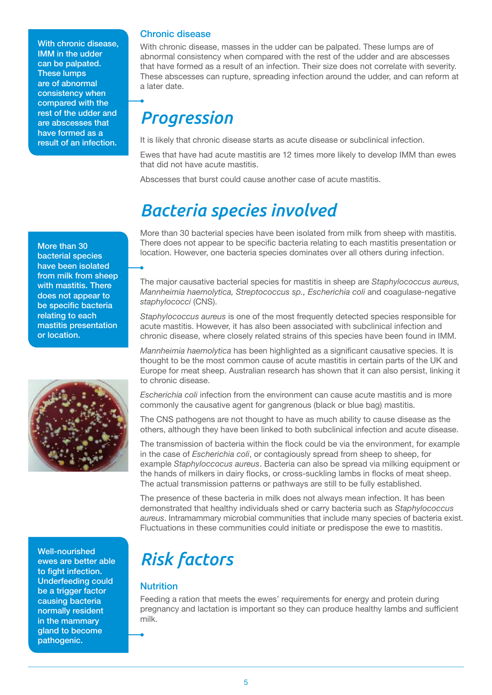With chronic disease, IMM in the udder can be palpated. These lumps are of abnormal consistency when compared with the rest of the udder and are abscesses that have formed as a result of an infection.

More than 30 bacterial species have been isolated from milk from sheep with mastitis. There does not appear to be specific bacteria relating to each mastitis presentation or location.



Well-nourished ewes are better able to fight infection. Underfeeding could be a trigger factor causing bacteria normally resident in the mammary gland to become pathogenic.

#### Chronic disease

With chronic disease, masses in the udder can be palpated. These lumps are of abnormal consistency when compared with the rest of the udder and are abscesses that have formed as a result of an infection. Their size does not correlate with severity. These abscesses can rupture, spreading infection around the udder, and can reform at a later date.

# *Progression*

It is likely that chronic disease starts as acute disease or subclinical infection.

Ewes that have had acute mastitis are 12 times more likely to develop IMM than ewes that did not have acute mastitis.

Abscesses that burst could cause another case of acute mastitis.

### *Bacteria species involved*

More than 30 bacterial species have been isolated from milk from sheep with mastitis. There does not appear to be specific bacteria relating to each mastitis presentation or location. However, one bacteria species dominates over all others during infection.

The major causative bacterial species for mastitis in sheep are *Staphylococcus aureus, Mannheimia haemolytica, Streptococcus sp., Escherichia coli* and coagulase-negative *staphylococci* (CNS).

*Staphylococcus aureus* is one of the most frequently detected species responsible for acute mastitis. However, it has also been associated with subclinical infection and chronic disease, where closely related strains of this species have been found in IMM.

*Mannheimia haemolytica* has been highlighted as a significant causative species. It is thought to be the most common cause of acute mastitis in certain parts of the UK and Europe for meat sheep. Australian research has shown that it can also persist, linking it to chronic disease.

*Escherichia coli* infection from the environment can cause acute mastitis and is more commonly the causative agent for gangrenous (black or blue bag) mastitis.

The CNS pathogens are not thought to have as much ability to cause disease as the others, although they have been linked to both subclinical infection and acute disease.

The transmission of bacteria within the flock could be via the environment, for example in the case of *Escherichia coli*, or contagiously spread from sheep to sheep, for example *Staphyloccocus aureus*. Bacteria can also be spread via milking equipment or the hands of milkers in dairy flocks, or cross-suckling lambs in flocks of meat sheep. The actual transmission patterns or pathways are still to be fully established.

The presence of these bacteria in milk does not always mean infection. It has been demonstrated that healthy individuals shed or carry bacteria such as *Staphylococcus aureus*. Intramammary microbial communities that include many species of bacteria exist. Fluctuations in these communities could initiate or predispose the ewe to mastitis.

# *Risk factors*

#### **Nutrition**

Feeding a ration that meets the ewes' requirements for energy and protein during pregnancy and lactation is important so they can produce healthy lambs and sufficient milk.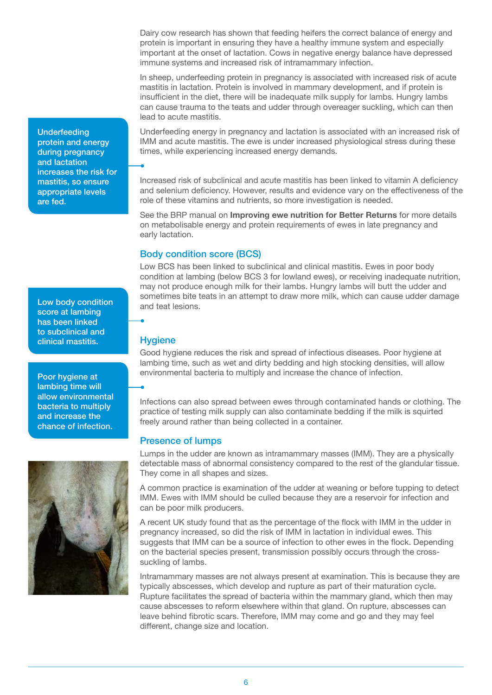Dairy cow research has shown that feeding heifers the correct balance of energy and protein is important in ensuring they have a healthy immune system and especially important at the onset of lactation. Cows in negative energy balance have depressed immune systems and increased risk of intramammary infection.

In sheep, underfeeding protein in pregnancy is associated with increased risk of acute mastitis in lactation. Protein is involved in mammary development, and if protein is insufficient in the diet, there will be inadequate milk supply for lambs. Hungry lambs can cause trauma to the teats and udder through overeager suckling, which can then lead to acute mastitis.

Underfeeding energy in pregnancy and lactation is associated with an increased risk of IMM and acute mastitis. The ewe is under increased physiological stress during these times, while experiencing increased energy demands.

Increased risk of subclinical and acute mastitis has been linked to vitamin A deficiency and selenium deficiency. However, results and evidence vary on the effectiveness of the role of these vitamins and nutrients, so more investigation is needed.

See the BRP manual on **Improving ewe nutrition for Better Returns** for more details on metabolisable energy and protein requirements of ewes in late pregnancy and early lactation.

#### Body condition score (BCS)

Low BCS has been linked to subclinical and clinical mastitis. Ewes in poor body condition at lambing (below BCS 3 for lowland ewes), or receiving inadequate nutrition, may not produce enough milk for their lambs. Hungry lambs will butt the udder and sometimes bite teats in an attempt to draw more milk, which can cause udder damage and teat lesions.

#### **Hygiene**

Good hygiene reduces the risk and spread of infectious diseases. Poor hygiene at lambing time, such as wet and dirty bedding and high stocking densities, will allow environmental bacteria to multiply and increase the chance of infection.

Infections can also spread between ewes through contaminated hands or clothing. The practice of testing milk supply can also contaminate bedding if the milk is squirted freely around rather than being collected in a container.

#### Presence of lumps

Lumps in the udder are known as intramammary masses (IMM). They are a physically detectable mass of abnormal consistency compared to the rest of the glandular tissue. They come in all shapes and sizes.

A common practice is examination of the udder at weaning or before tupping to detect IMM. Ewes with IMM should be culled because they are a reservoir for infection and can be poor milk producers.

A recent UK study found that as the percentage of the flock with IMM in the udder in pregnancy increased, so did the risk of IMM in lactation in individual ewes. This suggests that IMM can be a source of infection to other ewes in the flock. Depending on the bacterial species present, transmission possibly occurs through the crosssuckling of lambs.

Intramammary masses are not always present at examination. This is because they are typically abscesses, which develop and rupture as part of their maturation cycle. Rupture facilitates the spread of bacteria within the mammary gland, which then may cause abscesses to reform elsewhere within that gland. On rupture, abscesses can leave behind fibrotic scars. Therefore, IMM may come and go and they may feel different, change size and location.

Underfeeding protein and energy during pregnancy and lactation increases the risk for mastitis, so ensure appropriate levels are fed.

Low body condition score at lambing has been linked to subclinical and clinical mastitis.

Poor hygiene at lambing time will allow environmental bacteria to multiply and increase the chance of infection.

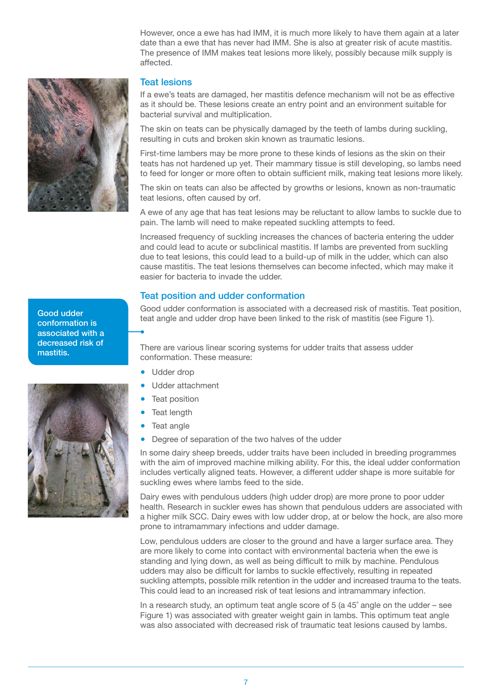However, once a ewe has had IMM, it is much more likely to have them again at a later date than a ewe that has never had IMM. She is also at greater risk of acute mastitis. The presence of IMM makes teat lesions more likely, possibly because milk supply is affected.



#### Teat lesions

If a ewe's teats are damaged, her mastitis defence mechanism will not be as effective as it should be. These lesions create an entry point and an environment suitable for bacterial survival and multiplication.

The skin on teats can be physically damaged by the teeth of lambs during suckling, resulting in cuts and broken skin known as traumatic lesions.

First-time lambers may be more prone to these kinds of lesions as the skin on their teats has not hardened up yet. Their mammary tissue is still developing, so lambs need to feed for longer or more often to obtain sufficient milk, making teat lesions more likely.

The skin on teats can also be affected by growths or lesions, known as non-traumatic teat lesions, often caused by orf.

A ewe of any age that has teat lesions may be reluctant to allow lambs to suckle due to pain. The lamb will need to make repeated suckling attempts to feed.

Increased frequency of suckling increases the chances of bacteria entering the udder and could lead to acute or subclinical mastitis. If lambs are prevented from suckling due to teat lesions, this could lead to a build-up of milk in the udder, which can also cause mastitis. The teat lesions themselves can become infected, which may make it easier for bacteria to invade the udder.

#### Teat position and udder conformation

Good udder conformation is associated with a decreased risk of mastitis. Teat position, teat angle and udder drop have been linked to the risk of mastitis (see Figure 1).

There are various linear scoring systems for udder traits that assess udder conformation. These measure:

- Udder drop
- Udder attachment
- **Teat position**
- **Teat length**
- Teat angle
- Degree of separation of the two halves of the udder

In some dairy sheep breeds, udder traits have been included in breeding programmes with the aim of improved machine milking ability. For this, the ideal udder conformation includes vertically aligned teats. However, a different udder shape is more suitable for suckling ewes where lambs feed to the side.

Dairy ewes with pendulous udders (high udder drop) are more prone to poor udder health. Research in suckler ewes has shown that pendulous udders are associated with a higher milk SCC. Dairy ewes with low udder drop, at or below the hock, are also more prone to intramammary infections and udder damage.

Low, pendulous udders are closer to the ground and have a larger surface area. They are more likely to come into contact with environmental bacteria when the ewe is standing and lying down, as well as being difficult to milk by machine. Pendulous udders may also be difficult for lambs to suckle effectively, resulting in repeated suckling attempts, possible milk retention in the udder and increased trauma to the teats. This could lead to an increased risk of teat lesions and intramammary infection.

In a research study, an optimum teat angle score of 5 (a 45˚ angle on the udder – see Figure 1) was associated with greater weight gain in lambs. This optimum teat angle was also associated with decreased risk of traumatic teat lesions caused by lambs.

Good udder conformation is associated with a decreased risk of mastitis.

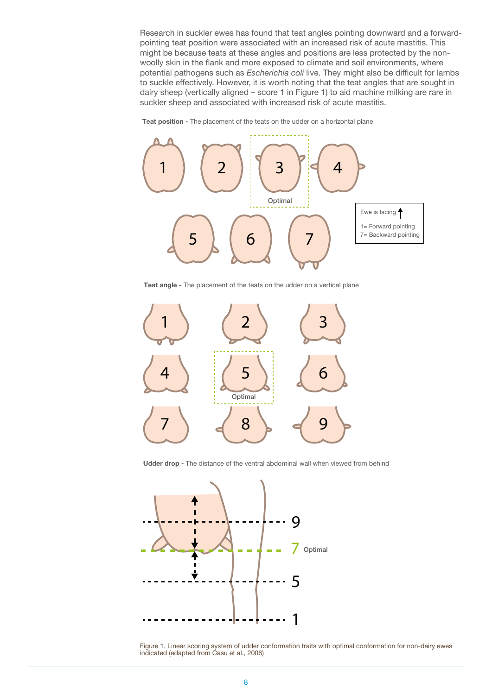Research in suckler ewes has found that teat angles pointing downward and a forwardpointing teat position were associated with an increased risk of acute mastitis. This might be because teats at these angles and positions are less protected by the nonwoolly skin in the flank and more exposed to climate and soil environments, where potential pathogens such as *Escherichia coli* live. They might also be difficult for lambs to suckle effectively. However, it is worth noting that the teat angles that are sought in dairy sheep (vertically aligned – score 1 in Figure 1) to aid machine milking are rare in suckler sheep and associated with increased risk of acute mastitis.





**Teat angle -** The placement of the teats on the udder on a vertical plane



**Udder drop -** The distance of the ventral abdominal wall when viewed from behind



Figure 1. Linear scoring system of udder conformation traits with optimal conformation for non-dairy ewes indicated (adapted from Casu et al., 2006)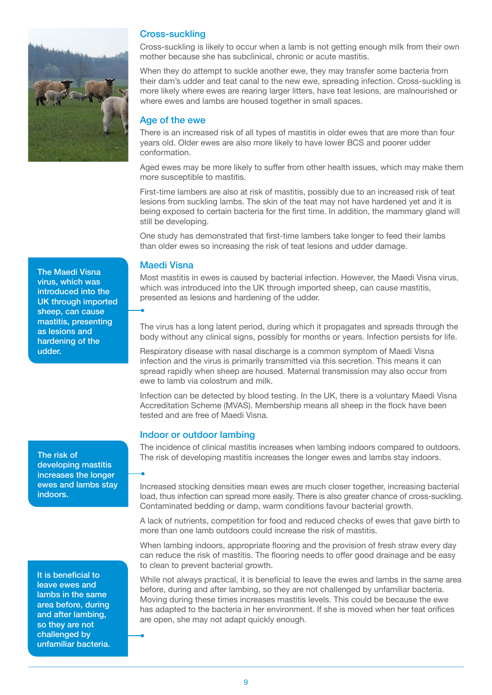

Cross-suckling

Cross-suckling is likely to occur when a lamb is not getting enough milk from their own mother because she has subclinical, chronic or acute mastitis.

When they do attempt to suckle another ewe, they may transfer some bacteria from their dam's udder and teat canal to the new ewe, spreading infection. Cross-suckling is more likely where ewes are rearing larger litters, have teat lesions, are malnourished or where ewes and lambs are housed together in small spaces.

#### Age of the ewe

There is an increased risk of all types of mastitis in older ewes that are more than four years old. Older ewes are also more likely to have lower BCS and poorer udder conformation.

Aged ewes may be more likely to suffer from other health issues, which may make them more susceptible to mastitis.

First-time lambers are also at risk of mastitis, possibly due to an increased risk of teat lesions from suckling lambs. The skin of the teat may not have hardened yet and it is being exposed to certain bacteria for the first time. In addition, the mammary gland will still be developing.

One study has demonstrated that first-time lambers take longer to feed their lambs than older ewes so increasing the risk of teat lesions and udder damage.

#### Maedi Visna

Most mastitis in ewes is caused by bacterial infection. However, the Maedi Visna virus, which was introduced into the UK through imported sheep, can cause mastitis, presented as lesions and hardening of the udder.

The virus has a long latent period, during which it propagates and spreads through the body without any clinical signs, possibly for months or years. Infection persists for life.

Respiratory disease with nasal discharge is a common symptom of Maedi Visna infection and the virus is primarily transmitted via this secretion. This means it can spread rapidly when sheep are housed. Maternal transmission may also occur from ewe to lamb via colostrum and milk.

Infection can be detected by blood testing. In the UK, there is a voluntary Maedi Visna Accreditation Scheme (MVAS). Membership means all sheep in the flock have been tested and are free of Maedi Visna.

#### Indoor or outdoor lambing

The incidence of clinical mastitis increases when lambing indoors compared to outdoors. The risk of developing mastitis increases the longer ewes and lambs stay indoors.

Increased stocking densities mean ewes are much closer together, increasing bacterial load, thus infection can spread more easily. There is also greater chance of cross-suckling. Contaminated bedding or damp, warm conditions favour bacterial growth.

A lack of nutrients, competition for food and reduced checks of ewes that gave birth to more than one lamb outdoors could increase the risk of mastitis.

When lambing indoors, appropriate flooring and the provision of fresh straw every day can reduce the risk of mastitis. The flooring needs to offer good drainage and be easy to clean to prevent bacterial growth.

While not always practical, it is beneficial to leave the ewes and lambs in the same area before, during and after lambing, so they are not challenged by unfamiliar bacteria. Moving during these times increases mastitis levels. This could be because the ewe has adapted to the bacteria in her environment. If she is moved when her teat orifices are open, she may not adapt quickly enough.

The Maedi Visna virus, which was introduced into the UK through imported sheep, can cause mastitis, presenting as lesions and hardening of the udder.

The risk of developing mastitis increases the longer ewes and lambs stay indoors.

It is beneficial to leave ewes and lambs in the same area before, during and after lambing, so they are not challenged by unfamiliar bacteria.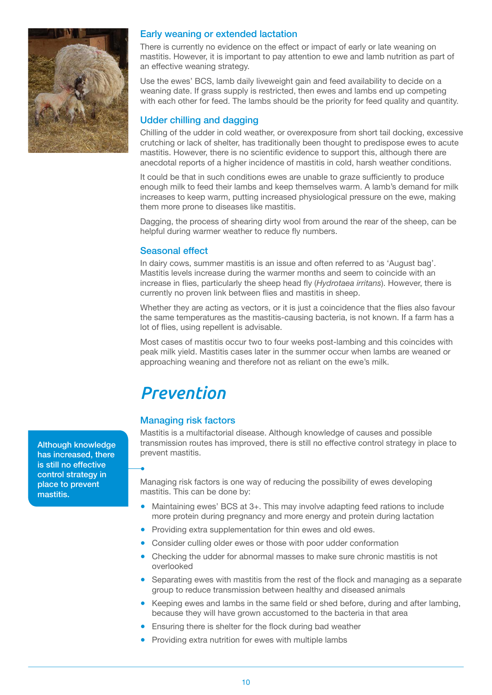

#### Early weaning or extended lactation

There is currently no evidence on the effect or impact of early or late weaning on mastitis. However, it is important to pay attention to ewe and lamb nutrition as part of an effective weaning strategy.

Use the ewes' BCS, lamb daily liveweight gain and feed availability to decide on a weaning date. If grass supply is restricted, then ewes and lambs end up competing with each other for feed. The lambs should be the priority for feed quality and quantity.

#### Udder chilling and dagging

Chilling of the udder in cold weather, or overexposure from short tail docking, excessive crutching or lack of shelter, has traditionally been thought to predispose ewes to acute mastitis. However, there is no scientific evidence to support this, although there are anecdotal reports of a higher incidence of mastitis in cold, harsh weather conditions.

It could be that in such conditions ewes are unable to graze sufficiently to produce enough milk to feed their lambs and keep themselves warm. A lamb's demand for milk increases to keep warm, putting increased physiological pressure on the ewe, making them more prone to diseases like mastitis.

Dagging, the process of shearing dirty wool from around the rear of the sheep, can be helpful during warmer weather to reduce fly numbers.

#### Seasonal effect

In dairy cows, summer mastitis is an issue and often referred to as 'August bag'. Mastitis levels increase during the warmer months and seem to coincide with an increase in flies, particularly the sheep head fly (*Hydrotaea irritans*). However, there is currently no proven link between flies and mastitis in sheep.

Whether they are acting as vectors, or it is just a coincidence that the flies also favour the same temperatures as the mastitis-causing bacteria, is not known. If a farm has a lot of flies, using repellent is advisable.

Most cases of mastitis occur two to four weeks post-lambing and this coincides with peak milk yield. Mastitis cases later in the summer occur when lambs are weaned or approaching weaning and therefore not as reliant on the ewe's milk.

### *Prevention*

#### Managing risk factors

Mastitis is a multifactorial disease. Although knowledge of causes and possible transmission routes has improved, there is still no effective control strategy in place to prevent mastitis.

Managing risk factors is one way of reducing the possibility of ewes developing mastitis. This can be done by:

- Maintaining ewes' BCS at 3+. This may involve adapting feed rations to include more protein during pregnancy and more energy and protein during lactation
- Providing extra supplementation for thin ewes and old ewes.
- Consider culling older ewes or those with poor udder conformation
- Checking the udder for abnormal masses to make sure chronic mastitis is not overlooked
- Separating ewes with mastitis from the rest of the flock and managing as a separate group to reduce transmission between healthy and diseased animals
- Keeping ewes and lambs in the same field or shed before, during and after lambing, because they will have grown accustomed to the bacteria in that area
- Ensuring there is shelter for the flock during bad weather
- Providing extra nutrition for ewes with multiple lambs

Although knowledge has increased, there is still no effective control strategy in place to prevent mastitis.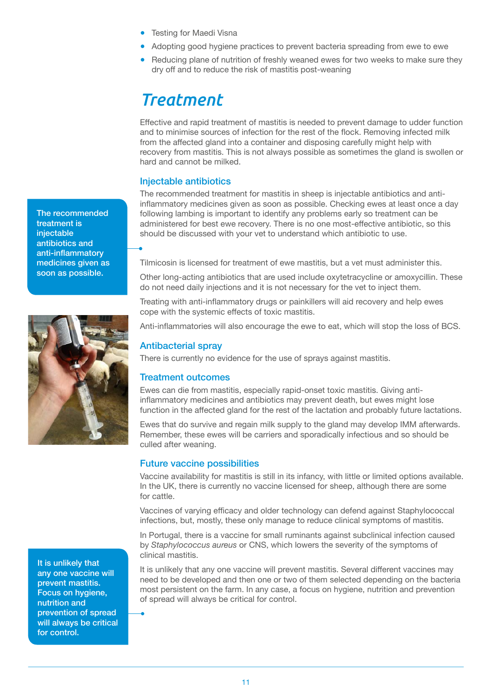- Testing for Maedi Visna
- Adopting good hygiene practices to prevent bacteria spreading from ewe to ewe
- Reducing plane of nutrition of freshly weaned ewes for two weeks to make sure they dry off and to reduce the risk of mastitis post-weaning

### *Treatment*

Effective and rapid treatment of mastitis is needed to prevent damage to udder function and to minimise sources of infection for the rest of the flock. Removing infected milk from the affected gland into a container and disposing carefully might help with recovery from mastitis. This is not always possible as sometimes the gland is swollen or hard and cannot be milked.

#### Injectable antibiotics

The recommended treatment for mastitis in sheep is injectable antibiotics and antiinflammatory medicines given as soon as possible. Checking ewes at least once a day following lambing is important to identify any problems early so treatment can be administered for best ewe recovery. There is no one most-effective antibiotic, so this should be discussed with your vet to understand which antibiotic to use.

Tilmicosin is licensed for treatment of ewe mastitis, but a vet must administer this.

Other long-acting antibiotics that are used include oxytetracycline or amoxycillin. These do not need daily injections and it is not necessary for the vet to inject them.

Treating with anti-inflammatory drugs or painkillers will aid recovery and help ewes cope with the systemic effects of toxic mastitis.

Anti-inflammatories will also encourage the ewe to eat, which will stop the loss of BCS.

#### Antibacterial spray

There is currently no evidence for the use of sprays against mastitis.

#### Treatment outcomes

Ewes can die from mastitis, especially rapid-onset toxic mastitis. Giving antiinflammatory medicines and antibiotics may prevent death, but ewes might lose function in the affected gland for the rest of the lactation and probably future lactations.

Ewes that do survive and regain milk supply to the gland may develop IMM afterwards. Remember, these ewes will be carriers and sporadically infectious and so should be culled after weaning.

#### Future vaccine possibilities

Vaccine availability for mastitis is still in its infancy, with little or limited options available. In the UK, there is currently no vaccine licensed for sheep, although there are some for cattle.

Vaccines of varying efficacy and older technology can defend against Staphylococcal infections, but, mostly, these only manage to reduce clinical symptoms of mastitis.

In Portugal, there is a vaccine for small ruminants against subclinical infection caused by *Staphylococcus aureus* or CNS, which lowers the severity of the symptoms of clinical mastitis.

It is unlikely that any one vaccine will prevent mastitis. Several different vaccines may need to be developed and then one or two of them selected depending on the bacteria most persistent on the farm. In any case, a focus on hygiene, nutrition and prevention of spread will always be critical for control.

The recommended treatment is injectable antibiotics and anti-inflammatory medicines given as soon as possible.



It is unlikely that any one vaccine will prevent mastitis. Focus on hygiene, nutrition and prevention of spread will always be critical for control.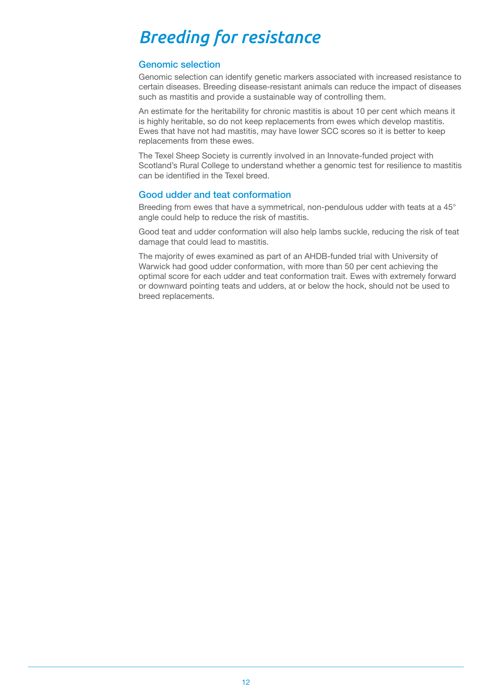# *Breeding for resistance*

#### Genomic selection

Genomic selection can identify genetic markers associated with increased resistance to certain diseases. Breeding disease-resistant animals can reduce the impact of diseases such as mastitis and provide a sustainable way of controlling them.

An estimate for the heritability for chronic mastitis is about 10 per cent which means it is highly heritable, so do not keep replacements from ewes which develop mastitis. Ewes that have not had mastitis, may have lower SCC scores so it is better to keep replacements from these ewes.

The Texel Sheep Society is currently involved in an Innovate-funded project with Scotland's Rural College to understand whether a genomic test for resilience to mastitis can be identified in the Texel breed.

#### Good udder and teat conformation

Breeding from ewes that have a symmetrical, non-pendulous udder with teats at a 45° angle could help to reduce the risk of mastitis.

Good teat and udder conformation will also help lambs suckle, reducing the risk of teat damage that could lead to mastitis.

The majority of ewes examined as part of an AHDB-funded trial with University of Warwick had good udder conformation, with more than 50 per cent achieving the optimal score for each udder and teat conformation trait. Ewes with extremely forward or downward pointing teats and udders, at or below the hock, should not be used to breed replacements.